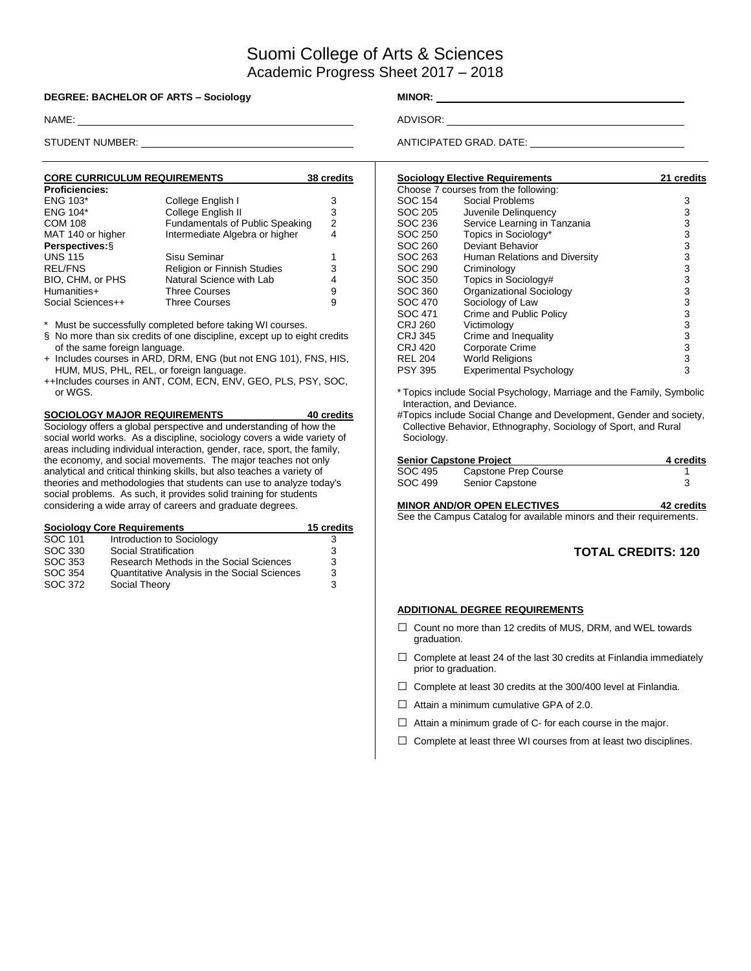# Suomi College of Arts & Sciences Academic Progress Sheet 2017 – 2018

#### **DEGREE: BACHELOR OF ARTS – Sociology MINOR:** \_\_\_\_\_\_\_\_\_\_\_\_\_

NAME: ADVISOR:

| <b>CORE CURRICULUM REQUIREMENTS</b> |                                    | 38 credits |
|-------------------------------------|------------------------------------|------------|
| <b>Proficiencies:</b>               |                                    |            |
| <b>ENG 103*</b>                     | College English I                  | 3          |
| ENG 104*                            | College English II                 | 3          |
| <b>COM 108</b>                      | Fundamentals of Public Speaking    | 2          |
| MAT 140 or higher                   | Intermediate Algebra or higher     | 4          |
| Perspectives: §                     |                                    |            |
| <b>UNS 115</b>                      | Sisu Seminar                       |            |
| <b>REL/FNS</b>                      | <b>Religion or Finnish Studies</b> | 3          |
| BIO, CHM, or PHS                    | Natural Science with Lab           | 4          |
| Humanities+                         | <b>Three Courses</b>               | 9          |
| Social Sciences++                   | <b>Three Courses</b>               | 9          |

Must be successfully completed before taking WI courses.

- § No more than six credits of one discipline, except up to eight credits of the same foreign language.
- + Includes courses in ARD, DRM, ENG (but not ENG 101), FNS, HIS, HUM, MUS, PHL, REL, or foreign language.
- ++Includes courses in ANT, COM, ECN, ENV, GEO, PLS, PSY, SOC, or WGS.

## **SOCIOLOGY MAJOR REQUIREMENTS 40 credits**

Sociology offers a global perspective and understanding of how the social world works. As a discipline, sociology covers a wide variety of areas including individual interaction, gender, race, sport, the family, the economy, and social movements. The major teaches not only analytical and critical thinking skills, but also teaches a variety of theories and methodologies that students can use to analyze today's social problems. As such, it provides solid training for students considering a wide array of careers and graduate degrees.

|         | <b>Sociology Core Requirements</b>           | 15 credits |
|---------|----------------------------------------------|------------|
| SOC 101 | Introduction to Sociology                    | З          |
| SOC 330 | Social Stratification                        | 3          |
| SOC 353 | Research Methods in the Social Sciences      | 3          |
| SOC 354 | Quantitative Analysis in the Social Sciences | 3          |
| SOC 372 | Social Theory                                | 3          |

STUDENT NUMBER: ANTICIPATED GRAD. DATE:

|                | <b>Sociology Elective Requirements</b> | 21 credits |
|----------------|----------------------------------------|------------|
|                | Choose 7 courses from the following:   |            |
| SOC 154        | Social Problems                        | 3          |
| SOC 205        | Juvenile Delinguency                   | 3          |
| SOC 236        | Service Learning in Tanzania           | 3          |
| SOC 250        | Topics in Sociology*                   | 3          |
| SOC 260        | Deviant Behavior                       | 3          |
| SOC 263        | Human Relations and Diversity          | 3          |
| SOC 290        | Criminology                            | 3          |
| SOC 350        | Topics in Sociology#                   | 3          |
| SOC 360        | Organizational Sociology               | 3          |
| SOC 470        | Sociology of Law                       | 3          |
| SOC 471        | Crime and Public Policy                | 3          |
| CRJ 260        | Victimology                            | 3          |
| <b>CRJ 345</b> | Crime and Inequality                   | 3          |
| CRJ 420        | <b>Corporate Crime</b>                 | 3          |
| <b>REL 204</b> | <b>World Religions</b>                 | 3          |
| <b>PSY 395</b> | <b>Experimental Psychology</b>         | 3          |

\* Topics include Social Psychology, Marriage and the Family, Symbolic Interaction, and Deviance.

#Topics include Social Change and Development, Gender and society, Collective Behavior, Ethnography, Sociology of Sport, and Rural Sociology.

|         | <b>Senior Capstone Project</b> | 4 credits |
|---------|--------------------------------|-----------|
| SOC 495 | Capstone Prep Course           |           |
| SOC 499 | Senior Capstone                |           |
|         |                                |           |

**MINOR AND/OR OPEN ELECTIVES 42 credits** See the Campus Catalog for available minors and their requirements.

### **TOTAL CREDITS: 120**

#### **ADDITIONAL DEGREE REQUIREMENTS**

- □ Count no more than 12 credits of MUS, DRM, and WEL towards graduation.
- $\Box$  Complete at least 24 of the last 30 credits at Finlandia immediately prior to graduation.
- $\Box$  Complete at least 30 credits at the 300/400 level at Finlandia.
- $\Box$  Attain a minimum cumulative GPA of 2.0.
- $\Box$  Attain a minimum grade of C- for each course in the major.
- $\Box$  Complete at least three WI courses from at least two disciplines.